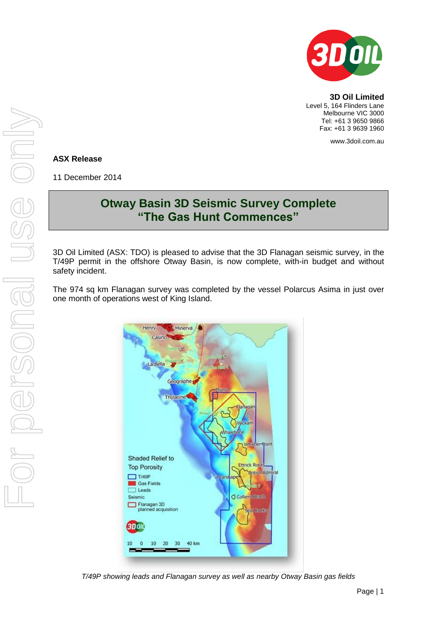

**3D Oil Limited** Level 5, 164 Flinders Lane Melbourne VIC 3000 Tel: +61 3 9650 9866 Fax: +61 3 9639 1960

www.3doil.com.au

## **ASX Release**

11 December 2014

## **Otway Basin 3D Seismic Survey Complete "The Gas Hunt Commences"**

3D Oil Limited (ASX: TDO) is pleased to advise that the 3D Flanagan seismic survey, in the T/49P permit in the offshore Otway Basin, is now complete, with-in budget and without safety incident.

The 974 sq km Flanagan survey was completed by the vessel Polarcus Asima in just over one month of operations west of King Island.



*T/49P showing leads and Flanagan survey as well as nearby Otway Basin gas fields*